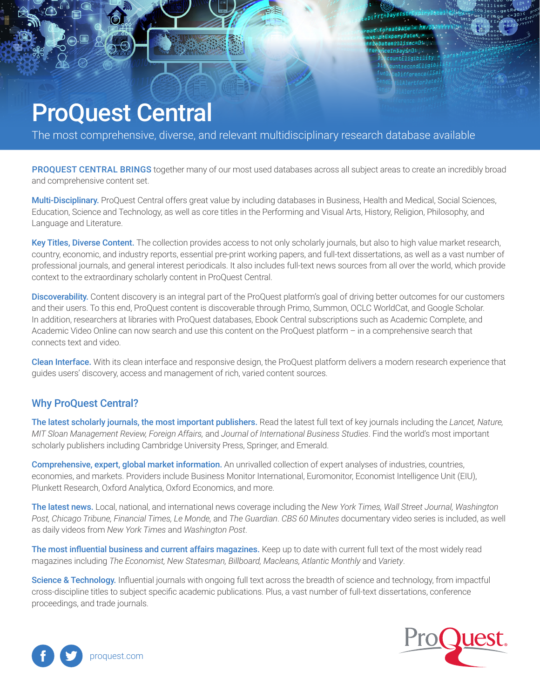# ProQuest Central

The most comprehensive, diverse, and relevant multidisciplinary research database available

PROQUEST CENTRAL BRINGS together many of our most used databases across all subject areas to create an incredibly broad and comprehensive content set.

matDate = MM/D narvDate4  $\leftrightarrow$  bidded  $\leftrightarrow$ 

Multi-Disciplinary. ProQuest Central offers great value by including databases in Business, Health and Medical, Social Sciences, Education, Science and Technology, as well as core titles in the Performing and Visual Arts, History, Religion, Philosophy, and Language and Literature.

Key Titles, Diverse Content. The collection provides access to not only scholarly journals, but also to high value market research, country, economic, and industry reports, essential pre-print working papers, and full-text dissertations, as well as a vast number of professional journals, and general interest periodicals. It also includes full-text news sources from all over the world, which provide context to the extraordinary scholarly content in ProQuest Central.

Discoverability. Content discovery is an integral part of the ProQuest platform's goal of driving better outcomes for our customers and their users. To this end, ProQuest content is discoverable through Primo, Summon, OCLC WorldCat, and Google Scholar. In addition, researchers at libraries with ProQuest databases, Ebook Central subscriptions such as Academic Complete, and Academic Video Online can now search and use this content on the ProQuest platform – in a comprehensive search that connects text and video.

Clean Interface. With its clean interface and responsive design, the ProQuest platform delivers a modern research experience that guides users' discovery, access and management of rich, varied content sources.

## Why ProQuest Central?

The latest scholarly journals, the most important publishers. Read the latest full text of key journals including the *Lancet, Nature, MIT Sloan Management Review, Foreign Affairs,* and *Journal of International Business Studies*. Find the world's most important scholarly publishers including Cambridge University Press, Springer, and Emerald.

Comprehensive, expert, global market information. An unrivalled collection of expert analyses of industries, countries, economies, and markets. Providers include Business Monitor International, Euromonitor, Economist Intelligence Unit (EIU), Plunkett Research, Oxford Analytica, Oxford Economics, and more.

The latest news. Local, national, and international news coverage including the *New York Times, Wall Street Journal, Washington Post, Chicago Tribune, Financial Times, Le Monde,* and *The Guardian*. *CBS 60 Minutes* documentary video series is included, as well as daily videos from *New York Times* and *Washington Post*.

The most influential business and current affairs magazines. Keep up to date with current full text of the most widely read magazines including *The Economist, New Statesman, Billboard, Macleans, Atlantic Monthly* and *Variety*.

Science & Technology. Influential journals with ongoing full text across the breadth of science and technology, from impactful cross-discipline titles to subject specific academic publications. Plus, a vast number of full-text dissertations, conference proceedings, and trade journals.